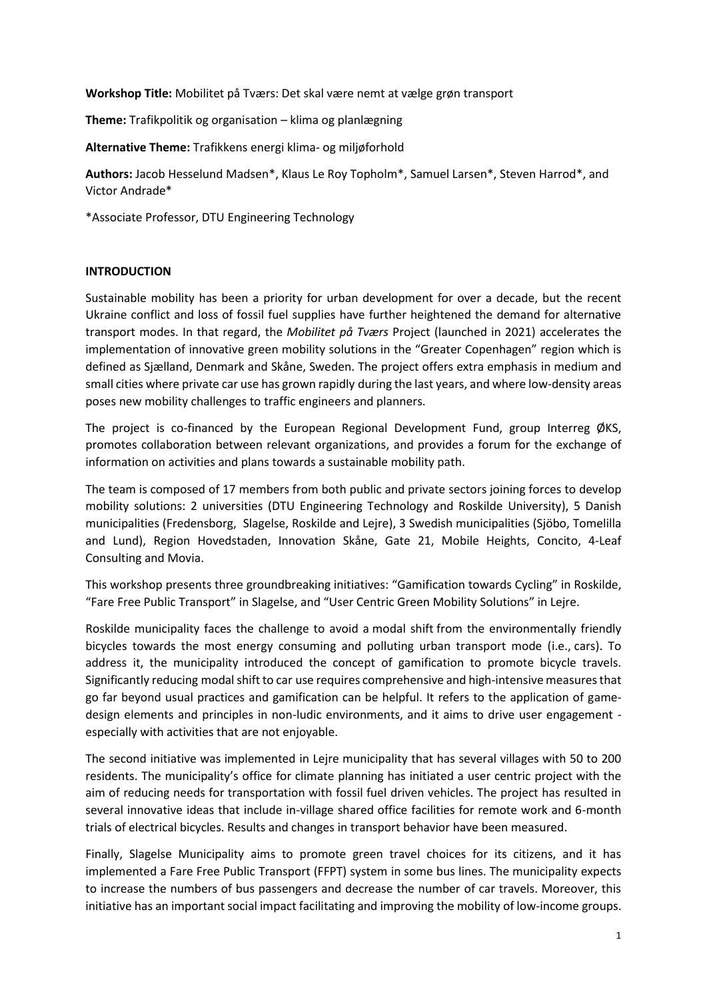**Workshop Title:** Mobilitet på Tværs: Det skal være nemt at vælge grøn transport

**Theme:** Trafikpolitik og organisation – klima og planlægning

**Alternative Theme:** Trafikkens energi klima- og miljøforhold

**Authors:** Jacob Hesselund Madsen\*, Klaus Le Roy Topholm\*, Samuel Larsen\*, Steven Harrod\*, and Victor Andrade\*

\*Associate Professor, DTU Engineering Technology

## **INTRODUCTION**

Sustainable mobility has been a priority for urban development for over a decade, but the recent Ukraine conflict and loss of fossil fuel supplies have further heightened the demand for alternative transport modes. In that regard, the *Mobilitet på Tværs* Project (launched in 2021) accelerates the implementation of innovative green mobility solutions in the "Greater Copenhagen" region which is defined as Sjælland, Denmark and Skåne, Sweden. The project offers extra emphasis in medium and small cities where private car use has grown rapidly during the last years, and where low-density areas poses new mobility challenges to traffic engineers and planners.

The project is co-financed by the European Regional Development Fund, group Interreg ØKS, promotes collaboration between relevant organizations, and provides a forum for the exchange of information on activities and plans towards a sustainable mobility path.

The team is composed of 17 members from both public and private sectors joining forces to develop mobility solutions: 2 universities (DTU Engineering Technology and Roskilde University), 5 Danish municipalities (Fredensborg, Slagelse, Roskilde and Lejre), 3 Swedish municipalities (Sjöbo, Tomelilla and Lund), Region Hovedstaden, Innovation Skåne, Gate 21, Mobile Heights, Concito, 4-Leaf Consulting and Movia.

This workshop presents three groundbreaking initiatives: "Gamification towards Cycling" in Roskilde, "Fare Free Public Transport" in Slagelse, and "User Centric Green Mobility Solutions" in Lejre.

Roskilde municipality faces the challenge to avoid a modal shift from the environmentally friendly bicycles towards the most energy consuming and polluting urban transport mode (i.e., cars). To address it, the municipality introduced the concept of gamification to promote bicycle travels. Significantly reducing modal shift to car use requires comprehensive and high-intensive measures that go far beyond usual practices and gamification can be helpful. It refers to the application of gamedesign elements and principles in non-ludic environments, and it aims to drive user engagement especially with activities that are not enjoyable.

The second initiative was implemented in Lejre municipality that has several villages with 50 to 200 residents. The municipality's office for climate planning has initiated a user centric project with the aim of reducing needs for transportation with fossil fuel driven vehicles. The project has resulted in several innovative ideas that include in-village shared office facilities for remote work and 6-month trials of electrical bicycles. Results and changes in transport behavior have been measured.

Finally, Slagelse Municipality aims to promote green travel choices for its citizens, and it has implemented a Fare Free Public Transport (FFPT) system in some bus lines. The municipality expects to increase the numbers of bus passengers and decrease the number of car travels. Moreover, this initiative has an important social impact facilitating and improving the mobility of low-income groups.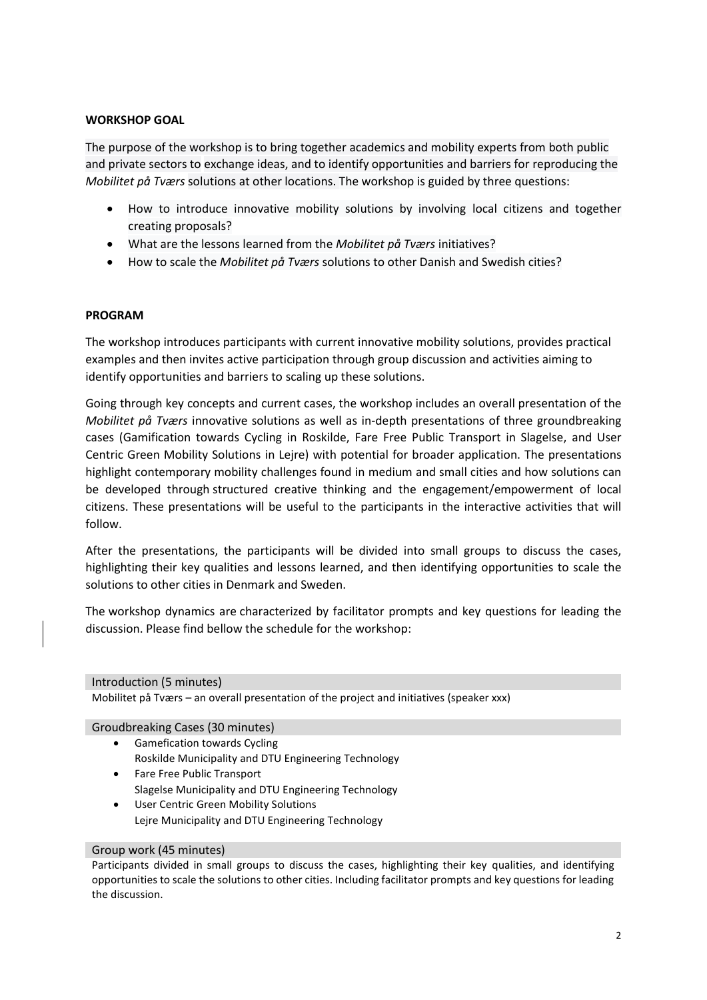## **WORKSHOP GOAL**

The purpose of the workshop is to bring together academics and mobility experts from both public and private sectors to exchange ideas, and to identify opportunities and barriers for reproducing the *Mobilitet på Tværs* solutions at other locations. The workshop is guided by three questions:

- How to introduce innovative mobility solutions by involving local citizens and together creating proposals?
- What are the lessons learned from the *Mobilitet på Tværs* initiatives?
- How to scale the *Mobilitet på Tværs* solutions to other Danish and Swedish cities?

## **PROGRAM**

The workshop introduces participants with current innovative mobility solutions, provides practical examples and then invites active participation through group discussion and activities aiming to identify opportunities and barriers to scaling up these solutions.

Going through key concepts and current cases, the workshop includes an overall presentation of the *Mobilitet på Tværs* innovative solutions as well as in-depth presentations of three groundbreaking cases (Gamification towards Cycling in Roskilde, Fare Free Public Transport in Slagelse, and User Centric Green Mobility Solutions in Lejre) with potential for broader application. The presentations highlight contemporary mobility challenges found in medium and small cities and how solutions can be developed through structured creative thinking and the engagement/empowerment of local citizens. These presentations will be useful to the participants in the interactive activities that will follow.

After the presentations, the participants will be divided into small groups to discuss the cases, highlighting their key qualities and lessons learned, and then identifying opportunities to scale the solutions to other cities in Denmark and Sweden.

The workshop dynamics are characterized by facilitator prompts and key questions for leading the discussion. Please find bellow the schedule for the workshop:

Introduction (5 minutes)

Mobilitet på Tværs – an overall presentation of the project and initiatives (speaker xxx)

Groudbreaking Cases (30 minutes)

- Gamefication towards Cycling Roskilde Municipality and DTU Engineering Technology
- Fare Free Public Transport Slagelse Municipality and DTU Engineering Technology
- User Centric Green Mobility Solutions Lejre Municipality and DTU Engineering Technology

## Group work (45 minutes)

Participants divided in small groups to discuss the cases, highlighting their key qualities, and identifying opportunities to scale the solutions to other cities. Including facilitator prompts and key questions for leading the discussion.